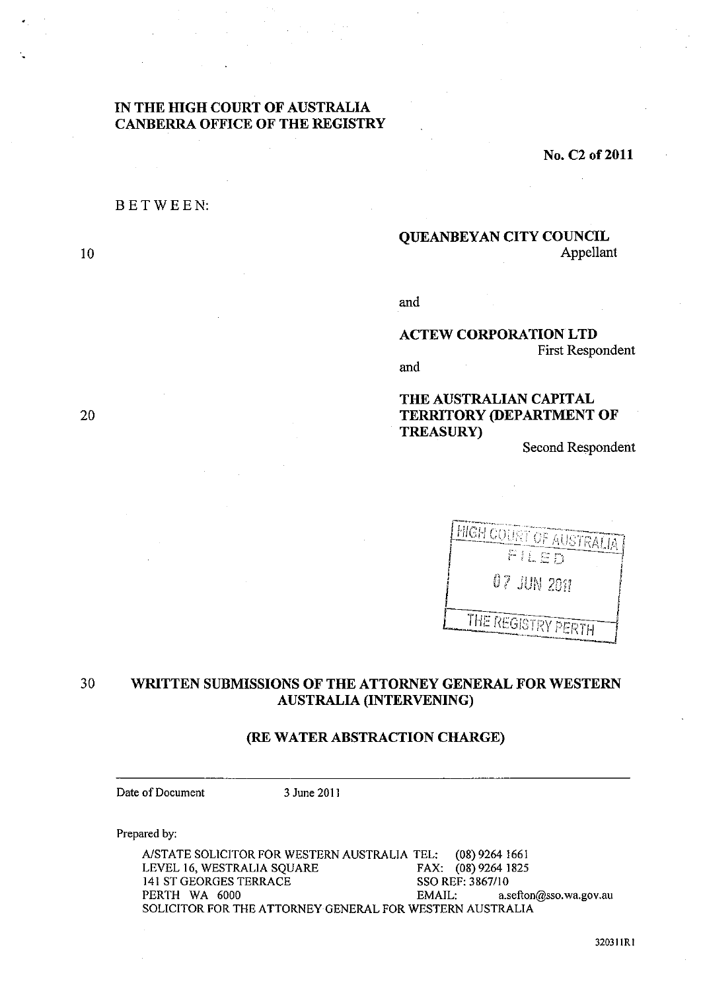# **IN THE HIGH COURT OF AUSTRALIA CANBERRA OFFICE OF THE REGISTRY**

**No. C2 of2011** 

## BETWEEN:

10

20

# **QUEANBEYAN CITY COUNCIL**  Appellant

and

### **ACTEW CORPORATION LTD**  First Respondent

and

# **THE AUSTRALIAN CAPITAL TERRITORY (DEPARTMENT OF TREASURy)**

Second Respondent

| <b>HIGH COURT OF AUSTRALIA!</b> |  |
|---------------------------------|--|
| FILED                           |  |
| $07$ $\mu$ m $20\%$             |  |
| THE REGISTRY PERTH              |  |
|                                 |  |

# 30 **WRITTEN SUBMISSIONS OF THE ATTORNEY GENERAL FOR WESTERN AUSTRALIA (INTERVENING)**

## **(RE** WATER ABSTRACTION **CHARGE)**

Date of Document 3 June 2011

Prepared by:

A/STATE SOLICITOR FOR WESTERN AUSTRALIA TEL: (08) 9264 1661<br>LEVEL 16, WESTRALIA SQUARE FAX: (08) 9264 1825 LEVEL 16, WESTRALIA SQUARE FAX: (08) 9264 1<br>141 ST GEORGES TERRACE SSO REF: 3867/10 141 ST GEORGES TERRACE<br>PERTH WA 6000 EMAIL: a.sefton@sso.wa.gov.au SOLICITOR FOR THE ATTORNEY GENERAL FOR WESTERN AUSTRALIA

320311RI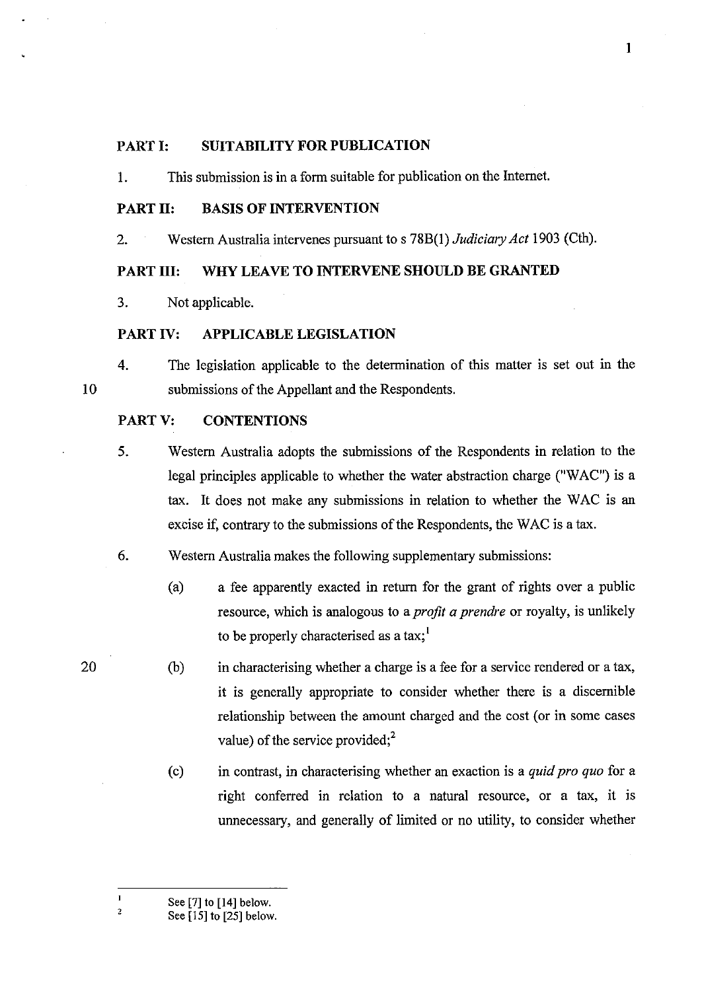# PART I: **SUITABILITY FOR PUBLICATION**

1. This submission is in a form suitable for publication on the Internet.

### PART 11: **BASIS OF INTERVENTION**

2. Western Australia intervenes pursuant to s 78B(I) *Judiciary Act* 1903 (Cth).

# **PART Ill: WHY LEAVE TO INTERVENE SHOULD BE GRANTED**

3. Not applicable.

#### **PART IV: APPLICABLE LEGISLATION**

4. The legislation applicable to the determination of this matter is set out in the submissions of the Appellant and the Respondents.

#### PART V: **CONTENTIONS**

- 5. Western Australia adopts the submissions of the Respondents in relation to the legal principles applicable to whether the water abstraction charge ("WAC") is a tax. It does not make any submissions in relation to whether the WAC is an excise if, contrary to the submissions of the Respondents, the WAC is a tax.
- 6. Western Australia makes the following supplementary submissions:
	- (a) a fee apparently exacted in return for the grant of rights over a public resource, which is analogous to a *profit a prendre* or royalty, is unlikely to be properly characterised as a tax;
	- (b) in characterising whether a charge is a fee for a service rendered or a tax, it is generally appropriate to consider whether there is a discernible relationship between the amount charged and the cost (or in some cases value) of the service provided; $^{2}$
	- (c) in contrast, in characterising whether an exaction is a *quid pro quo* for a right conferred in relation to a natural resource, or a tax, it is unnecessary, and generally of limited or no utility, to consider whether
	- See [7] to [14] below.

20

2

See [IS] to [25] below.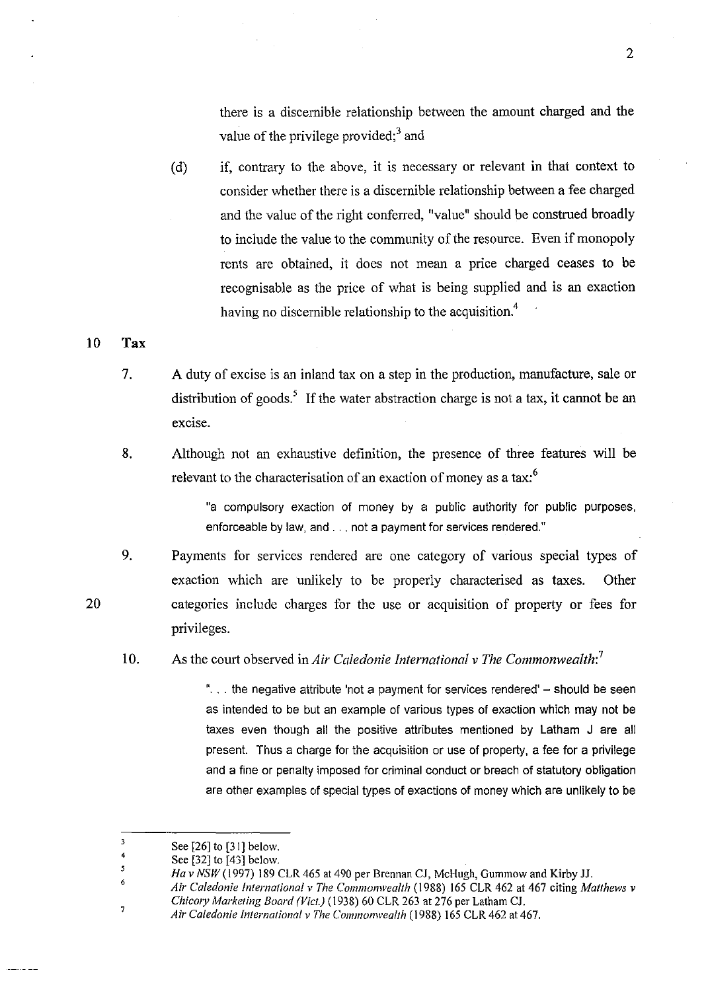there is a discernible relationship between the amount charged and the value of the privilege provided; $3$  and

(d) if, contrary to the above, it is necessary or relevant in that context to consider whether there is a discernible relationship between a fee charged and the value of the right conferred, "value" should be construed broadly to include the value to the community of the resource. Even if monopoly rents are obtained, it does not mean a price charged ceases to be recognisable as the price of what is being supplied and is an exaction having no discernible relationship to the acquisition.<sup>4</sup>

#### **10 Tax**

20

- 7. A duty of excise is an inland tax on a step in the production, manufacture, sale or distribution of goods.<sup>5</sup> If the water abstraction charge is not a tax, it cannot be an excise.
- 8. Although not an exhaustive definition, the presence of three features will be relevant to the characterisation of an exaction of money as a tax:<sup>6</sup>

"a compulsory exaction of money by a public authority for public purposes, enforceable by law, and ... not a payment for services rendered."

- 9. Payments for services rendered are one category of various special types of exaction which are unlikely to be properly characterised as taxes. Other categories include charges for the use or acquisition of property or fees for privileges.
- 10. As the court observed in *Air Caledonie International v The Commonwealth:<sup>7</sup>*

"... the negative attribute 'not a payment for services rendered'  $-$  should be seen as intended to be but an example of various types of exaction which may not be taxes even though all the positive attributes mentioned by Latham J are all present. Thus a charge for the acquisition or use of property, a fee for a privilege and a fine or penalty imposed for criminal conduct or breach of statutory obligation are other examples of special types of exactions of money which are unlikely to be

<sup>3</sup>  See [26] to [31] below.

<sup>4</sup>  5 See [32] to [43] below.

*Ha* v *NSW* (1997) 189 CLR 465 at 490 per Brennan CJ, McHugh, Gummow and Kirby JJ.

<sup>6</sup>  7 *Air Caledonie International* v *The Commonwealth* (1988) 165 CLR 462 at 467 citing *Matthews* v *ChicOJY Marketing Board (Viet.)* (1938) 60 CLR 263 at 276 per Latham CJ.

*Air Caledonie International* v *The Commonwealth* (1988) 165 CLR 462 at 467.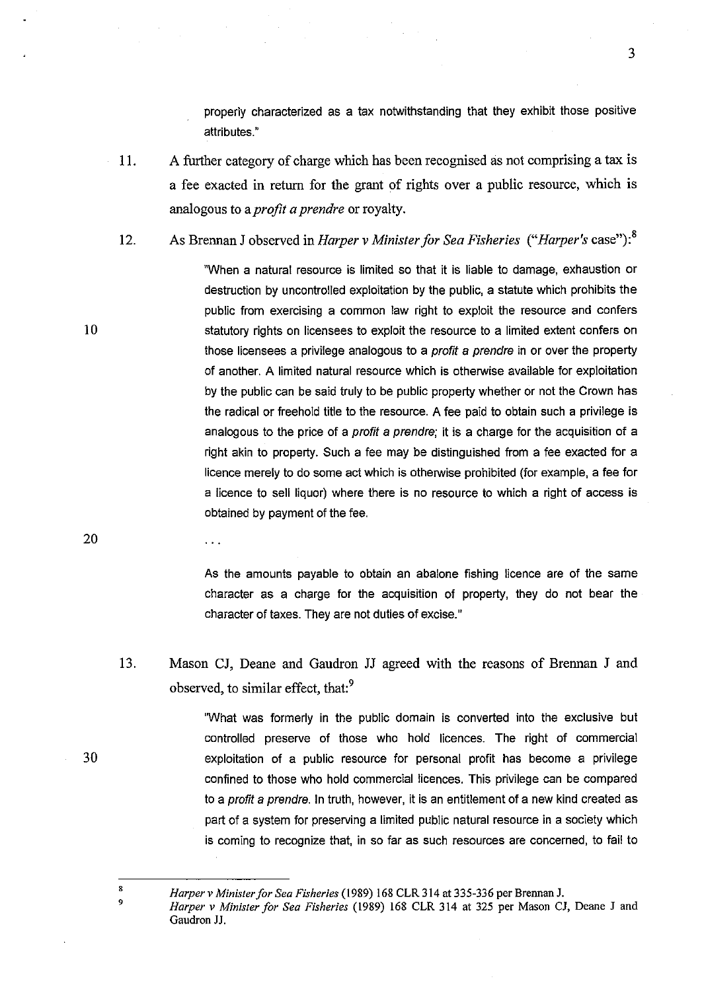properly characterized as a tax notwithstanding that they exhibit those positive attributes."

- 11. A further category of charge which has been recognised as not comprising a tax is a fee exacted in return for the grant of rights over a public resource, which is analogous to a *profit a prendre* or royalty.
- 12. As Brennan J observed in *Harper v Minister for Sea Fisheries* ("*Harper's* case"):<sup>8</sup>

"When a natural resource is limited so that it is liable to damage, exhaustion or destruction by uncontrolled exploitation by the public, a statute which prohibits the public from exercising a common law right to exploit the resource and confers statutory rights on licensees to exploit the resource to a limited extent confers on those licensees a privilege analogous to a profit a prendre in or over the property of another. A limited natural resource which is otherwise available for exploitation by the public can be said truly to be public property whether or not the Crown has the radical or freehold title to the resource. A fee paid to obtain such a privilege is analogous to the price of a profit a prendre; it is a charge for the acquisition of a right akin to property. Such a fee may be distinguished from a fee exacted for a licence merely to do some act which is otherwise prohibited (for example, a fee for a licence to sell liquor) where there is no resource to which a right of access is obtained by payment of the fee.

20

 $\ddotsc$ 

10

As the amounts payable to obtain an abalone fishing licence are of the same character as a charge for the acquisition of property, they do not bear the character of taxes. They are not duties of excise."

13. Mason CJ, Deane and Gaudron JJ agreed with the reasons of Brennan J and observed, to similar effect, that:<sup>9</sup>

> "What was formerly in the public domain is converted into the exclusive but controlled preserve of those who hold licences. The right of commercial exploitation of a public resource for personal profit has become a privilege confined to those who hold commercial licences. This privilege can be compared to a *profit a prendre*. In truth, however, it is an entitlement of a new kind created as part of a system for preserving a limited public natural resource in a society which is coming to recognize that, in so far as such resources are concerned, to fail to

30

*Harper v Minister for Sea Fisheries* (1989) 168 CLR 314 at 335-336 per Brennan J.

*Harper* v *Minister for Sea Fisheries* (1989) 168 CLR 314 at 325 per Mason CJ, Deane J and Gaudron JJ.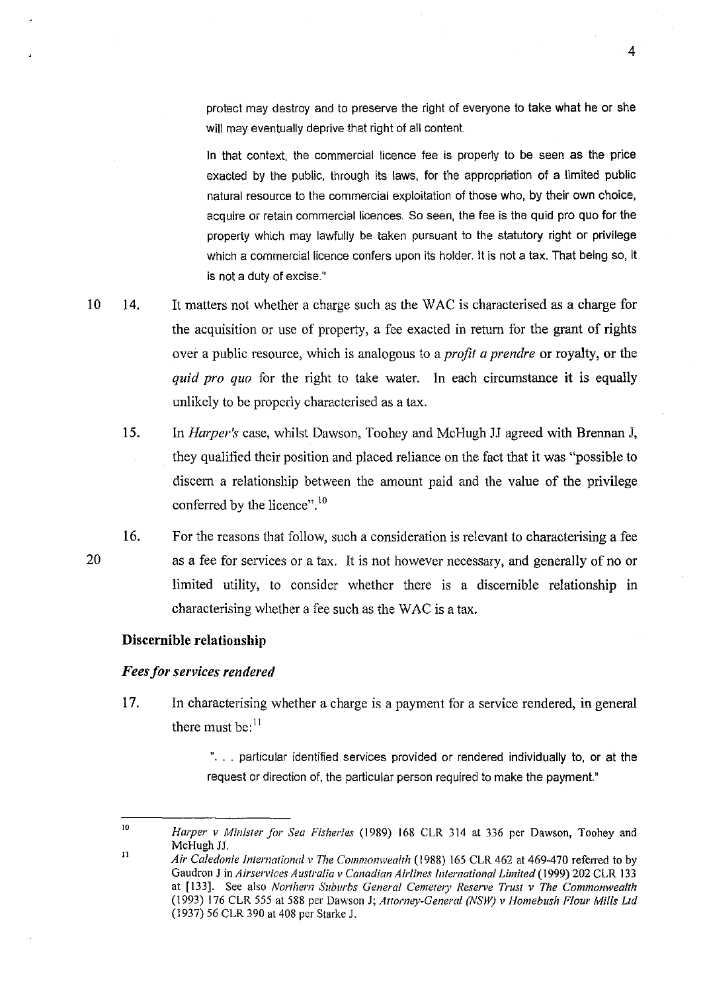protect may destroy and to preserve the right of everyone to take what he or she will may eventually deprive that right of all content.

In that context, the commercial licence fee is properly to be seen as the price exacted by the public, through its laws, for the appropriation of a limited public natural resource to the commercial exploitation of those who, by their own choice, acquire or retain commercial licences. So seen, the fee is the quid pro quo for the property which may lawfully be taken pursuant to the statutory right or privilege which a commercial licence confers upon its holder. It is not a tax. That being so, it is not a duty of excise."

- 10 14. It matters not whether a charge such as the W AC is characterised as a charge for the acquisition or use of property, a fee exacted in return for the grant of rights over a public resource, which is analogous to a *profit a prendre* or royalty, or the *quid pro quo* for the right to take water. In each circumstance it is equally unlikely to be properly characterised as a tax.
	- 15. In *Harper's* case, whilst Dawson, Toohey and McHugh JJ agreed with Brennan J, they qualitied their position and placed reliance on the fact that it was "possible to discem a relationship between the amount paid and the value of the privilege conferred by the licence".<sup>10</sup>
	- 16. For the reasons that follow, such a consideration is relevant to characterising a fee as a fee for services or a tax. It is not however necessary, and generally of no or limited utility, to consider whether there is a discemible relationship in characterising whether a fee such as the WAC is a tax.

### **Discernible** relationship

### *Fees for services rendered*

17. In characterising whether a charge is a payment tor a service rendered, in general there must be: $<sup>11</sup>$ </sup>

> "... particular identified services provided or rendered individually to, or at the request or direction of, the particular person required to make the payment."

<sup>10</sup>  11 *Harper v Minister for Sea Fisheries* (1989) 168 CLR 314 at 336 per Dawson, Toohey and McHugh JJ.

*Air Caledonie international* v *The Commonwealth* (\988) 165 CLR 462 at 469-470 referred to by Gaudron J in *Airservices Australia v Canadian Airlines international Limited* (1999) 202 CLR 133 at [133]. See also *Northern Suburbs General Cemetery Reserve Trust v The Commonwealth* (1993) \76 CLR 555 at 588 per Dawson J; *Attorney-General (NSW)* v *Homebush Flour Mills Lld*  (1937) 56 CLR 390 at 408 per Starke J.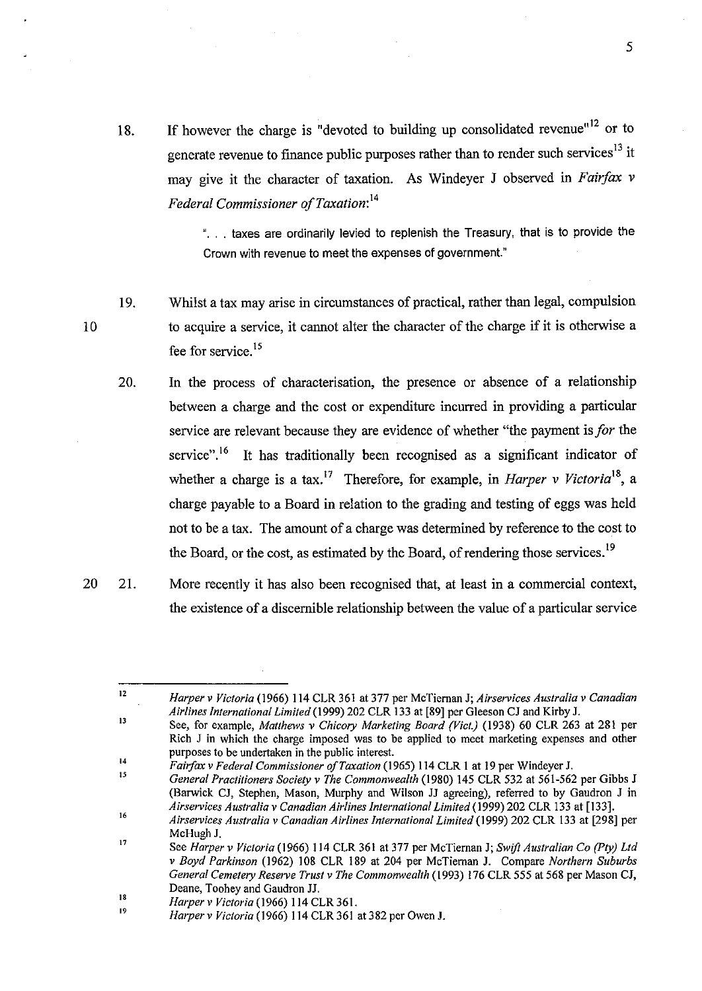18. If however the charge is "devoted to building up consolidated revenue"<sup>12</sup> or to generate revenue to finance public purposes rather than to render such services<sup>13</sup> it may give it the character of taxation. As Windever J observed in *Fairfax* v *Federal Commissioner of Taxation*:<sup>14</sup>

> ". . . taxes are ordinarily levied to replenish the Treasury, that is to provide the Crown with revenue to meet the expenses of government."

5

- 19. Whilst a tax may arise in circumstances of practical, rather than legal, compulsion to acquire a service, it cannot alter the character of the charge if it is otherwise a fee for service.<sup>15</sup>
	- 20. In the process of characterisation, the presence or absence of a relationship between a charge and the cost or expenditure incurred in providing a particular service are relevant because they are evidence of whether "the payment is *Jor* the service".<sup>16</sup> It has traditionally been recognised as a significant indicator of whether a charge is a tax.17 Therefore, for example, in *Harper v Victorial8,* a charge payable to a Board in relation to the grading and testing of eggs was held not to be a tax. The amount of a charge was determined by reference to the cost to the Board, or the cost, as estimated by the Board, of rendering those services.<sup>19</sup>
- 20 21. More recently it has also been recognised that, at least in a commercial context, the existence of a discernible relationship between the value of a particular service

14 15 *Fairiax* v *Federal Commissioner a/Taxation* (1965) 114 CLR 1 at 19 per Windeyer J.

16 *General Practitioners Society* v *The Commonwealth* (1980) 145 CLR 532 at 561-562 per Gibbs J (Barwick CJ, Slephen, Mason, Murphy and Wilson JJ agreeing), referred to by Gaudron J in *Airservices Australia* v *Canadian Airlines International Limited* (1999) 202 CLR 133 at [133].

10

*Harper* v *Victoria* (1966) 114 CLR 361 at 377 per McTieman J; *Airservices Australia* v *Canadian Airlines International Limited* (1999) 202 CLR 133 at [&9] per G1eeson CJ and Kirby J.

<sup>13</sup>  See, for example, *Matthews* v *Chicory Marketing Board (Vict.)* (1938) 60 CLR 263 at 281 per Rich J in which the charge imposed was to be applied to meet marketing expenses and other purposes to be undertaken in the public interest.

I7 *Airservices Australia v Canadian Airlines International Limited* (1999) 202 CLR 133 at [29&] per McHugh J.

See *Harper* v *Victoria* (1966) 114 CLR 361 at 377 per McTieman J; *Swift Australian Co (Pty) Lld*  v *Boyd Parkinson* (1962) 108 CLR 189 at 204 per McTieman J. Compare *Northern Suburbs General Cemetery Reserve Trust* v *The Commonwealth* (1993) 176 CLR 555 al 56& per Mason CJ, Deane, Toohey and Gaudron JJ.

IS *Harper v Victoria* (1966) 114 CLR 361.

<sup>19</sup>  *Harperv Victoria* (1966) 114 CLR 361 al 3&2 per Owen J.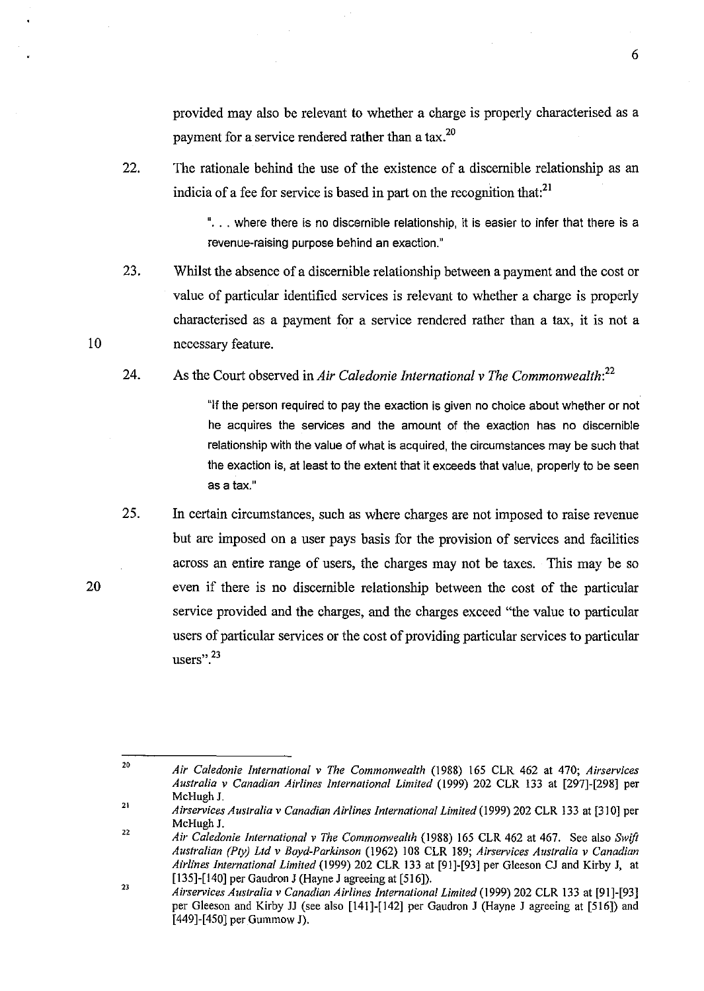provided may also be relevant to whether a charge is properly characterised as a payment for a service rendered rather than a tax.<sup>20</sup>

22. The rationale behind the use of the existence of a discernible relationship as an indicia of a fee for service is based in part on the recognition that: $^{21}$ 

> "... where there is no discernible relationship, it is easier to infer that there is a revenue-raising purpose behind an exaction."

- 23. Whilst the absence of a discernible relationship between a payment and the cost or value of particular identified services is relevant to whether a charge is properly characterised as a payment for a service rendered rather than a tax, it is not a necessary feature.
- 24. As the Court observed in *Air Caledonie International* v *The Commonwealth:<sup>22</sup>*

"If the person required to pay the exaction is given no choice about whether or not he acquires the services and the amount of the exaction has no discernible relationship with the value of what is acquired, the circumstances may be such that the exaction is, at least to the extent that it exceeds that value, properly to be seen as a tax."

25. In certain circumstances, such as where charges are not imposed to raise revenue but are imposed on a user pays basis for the provision of services and facilities across an entire range of users, the charges may not be taxes. This may be so even if there is no discernible relationship between the cost of the particular service provided and the charges, and the charges exceed "the value to particular users of particular services or the cost of providing particular services to particular **users".23** 

20

<sup>20</sup>  *Air Caledonie International* v *The Commonwealth* (1988) 165 CLR 462 at 470; *Airservices Australia* v *Canadian Airlines International Limited* (1999) 202 CLR 133 at [297]-[298] per McHugh J.

<sup>21</sup>  22 *Airservices Australia* v *Canadian Airlines International Limited* (1999) 202 CLR 133 at [310] per McHugh J.

*Air Caledonie International* v *The Commomvealth* (1988) 165 CLR 462 at 467. See also *Swift Australian (Ply) Lld* v *Boyd-Parkinson* (1962) 108 CLR 189; *Airservices Australia* v *Canadian Airlines international Limited* (1999) 202 CLR 133 at [91]-[93] per Gleeson CJ and Kirby J, at [135]-[140] per Gaudron J (Hayne J agreeing at [516]).

<sup>23</sup>  *AiI·services Australia* v *Canadian Airlines International Limited* (1999) 202 CLR 133 at [91]-[93] per G1eeson and Kirby 11 (see also [141]-[142] per Gaudron J (Hayne J agreeing at [516]) and [449]-[450] per Gummow J).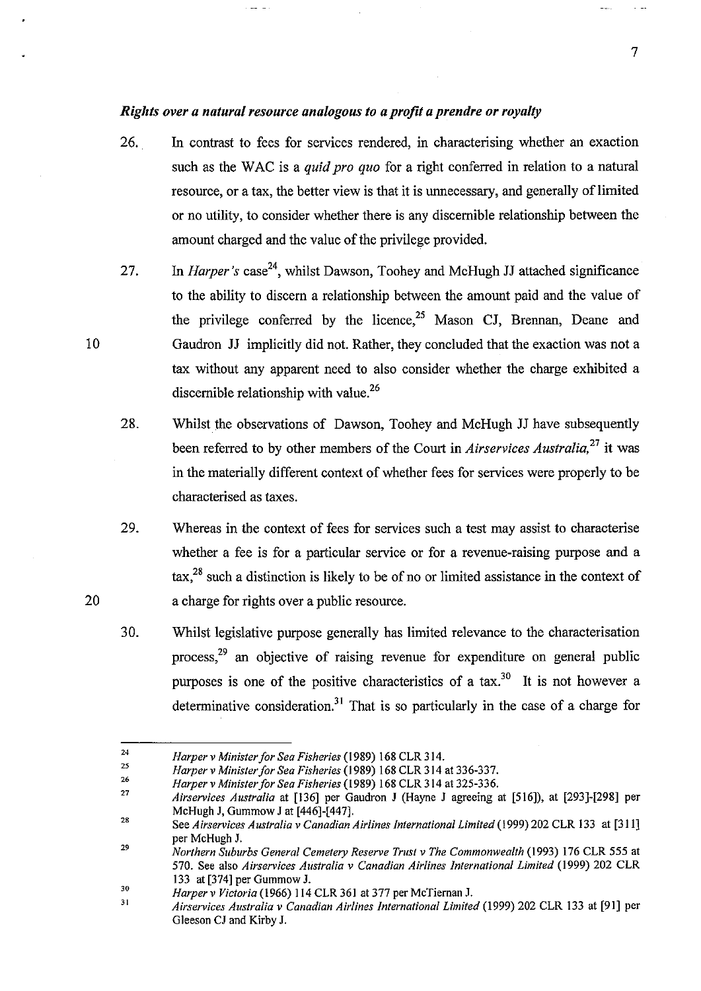## *Rights over a natural resource analogous to a profit a prendre or royalty*

- 26. In contrast to fees for services rendered, in characterising whether an exaction such as the WAC is a *quid pro quo* for a right conferred in relation to a natural resource, or a tax, the better view is that it is unnecessary, and generally of limited or no utility, to consider whether there is any discernible relationship between the amount charged and the value of the privilege provided.
- 27. In *Harper's* case<sup>24</sup>, whilst Dawson, Toohey and McHugh JJ attached significance to the ability to discern a relationship between the amount paid and the value of the privilege conferred by the licence,<sup>25</sup> Mason CJ, Brennan, Deane and Gaudron 11 implicitly did not. Rather, they concluded that the exaction was not a tax without any apparent need to also consider whether the charge exhibited a discernible relationship with value.<sup>26</sup>
- 28. Whilst the observations of Dawson, Toohey and McHugh 11 have subsequently been referred to by other members of the Court in *Airservices Australia,27* it was in the materially different context of whether fees for services were properly to be characterised as taxes.
- 29. Whereas in the context of fees for services such a test may assist to characterise whether a fee is for a particular service or for a revenue-raising purpose and a tax,28 such a distinction is likely to be of no or limited assistance in the context of a charge for rights over a public resource.
- 30. Whilst legislative purpose generally has limited relevance to the characterisation process,<sup>29</sup> an objective of raising revenue for expenditure on general public purposes is one of the positive characteristics of a tax.<sup>30</sup> It is not however a determinative consideration.<sup>31</sup> That is so particularly in the case of a charge for

10

<sup>24</sup>  *Harper* v *Minister for Sea Fisheries* (1989) 168 CLR 314.

<sup>25</sup>  26 *Harper* v *Minister for Sea Fisheries* (1989) 168 CLR 314 at 336-337.

*Harper* v *Minister Jor Sea Fisheries* (1989) 168 CLR 314 at 325-336.

<sup>27</sup>  *Airservices Australia* at [136] per Gaudron J (Hayne J agreeing at [516]), at [293]-[298] per McHugh J, Gummow J at [446]-[447].

<sup>28</sup>  See *Airservices Australia* v *Canadian Airlines International Limited* (1999) 202 CLR 133 at [311] per McHugh J.

<sup>29</sup>  *Northern Suburbs General Cemetery Reserve Trust* v *The Commonwealth* (1993) 176 CLR 555 at 570. See also *Airservices Australia* v *Canadian Airlines International Limited* (1999) 202 CLR 133 at [374] per Gummow J.

<sup>30</sup> *Harper* v *Victoria* (1966) 114 CLR 361 at 377 per McTiernan J.

<sup>31</sup>  *Airservices Australia* v *Canadian Airlines International Limited* (1999) 202 CLR 133 at [91] per Gleeson CJ and Kirby J.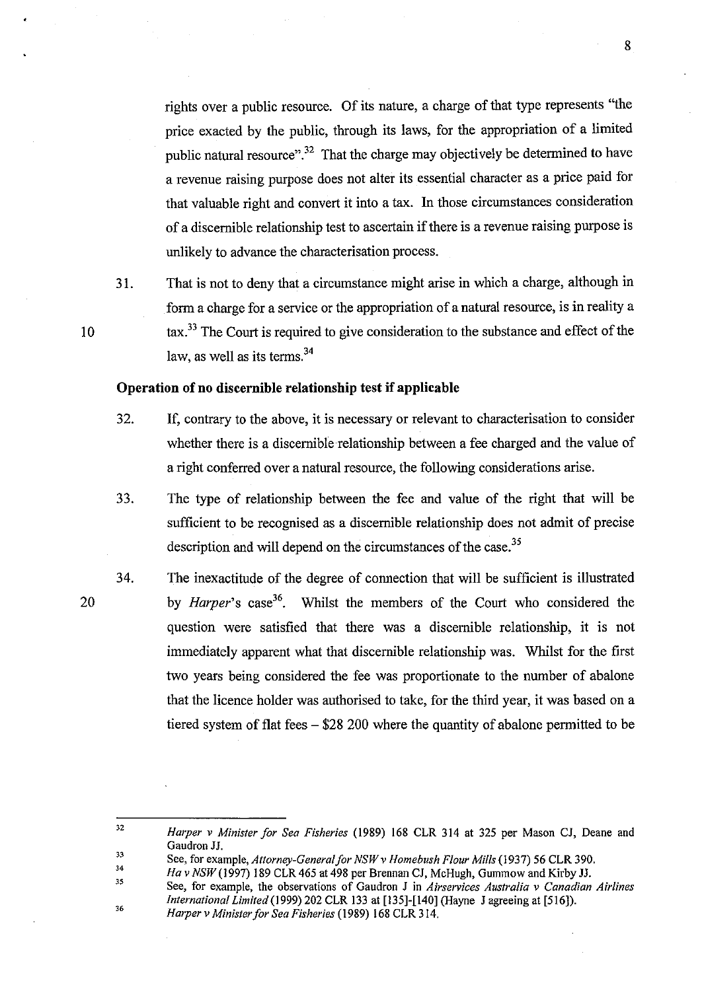rights over a public resource. Of its nature, a charge of that type represents "the price exacted by the public, through its laws, for the appropriation of a limited public natural resource".<sup>32</sup> That the charge may objectively be determined to have a revenue raising purpose does not alter its essential character as a price paid for that valuable right and convert it into a tax. In those circumstances consideration of a discernible relationship test to ascertain if there is a revenue raising purpose is unlikely to advance the characterisation process.

31. That is not to deny that a circumstance might arise in which a charge, although in form a charge for a service or the appropriation of a natural resource, is in reality a tax.33 The Court is required to give consideration to the substance and effect of the law, as well as its terms. $34$ 

## Operation of no discernible relationship test **if** applicable

- 32. If, contrary to the above, it is necessary or relevant to characterisation to consider whether there is a discernible relationship between a fee charged and the value of a right conferred over a natural resource, the following considerations arise.
- 33. The type of relationship between the fee and value of the right that will be sufficient to be recognised as a discernible relationship does not admit of precise description and will depend on the circumstances of the case.<sup>35</sup>
- 34. The inexactitude of the degree of connection that will be sufficient is illustrated by *Harper's* case 36. Whilst the members of the Court who considered the question were satisfied that there was a discernible relationship, it is not immediately apparent what that discernible relationship was. Whilst for the first two years being considered the fee was proportionate to the number of abalone that the licence holder was authorised to take, for the third year, it was based on a tiered system of flat fees - \$28 200 where the quantity of abalone permitted to be

34 35 *Ha v NSW* (1997) 189 CLR 465 at 498 per Brennan CJ, McHugh, Gummow and Kirby JJ.

20

<sup>32</sup>  *Harper v Minister Jor Sea Fisheries* (1989) 168 CLR 314 at 325 per Mason CJ, Deane and Gaudron JJ.

<sup>33</sup>  See, for example, *Attorney-General for NSW v Homebush Flour Mills* (1937) 56 CLR 390.

<sup>36</sup>  See, for example, the observations of Gaudron J in *Airservices Australia v Canadian Airlines International Limited* (1999) 202 CLR 133 at [135]-[140] (Hayne J agreeing at [516]). *Harper v Minister Jor Sea Fisheries* (1989) 168 CLR 314.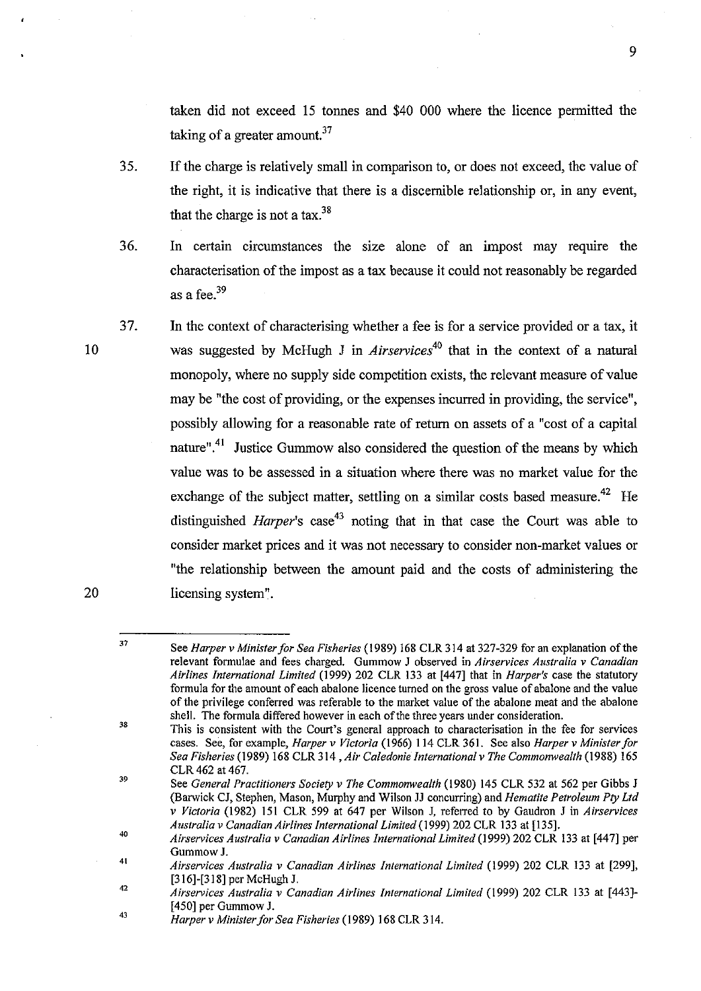taken did not exceed 15 tonnes and \$40 000 where the licence permitted the taking of a greater amount. $37$ 

- 35. If the charge is relatively small in comparison to, or does not exceed, the value of the right, it is indicative that there is a discernible relationship or, in any event, that the charge is not a tax. $^{38}$
- 36. In certain circumstances the size alone of an impost may require the characterisation of the impost as a tax because it could not reasonably be regarded as a fee.<sup>39</sup>
- 37. In the context of characterising whether a fee is for a service provided or a tax, it was suggested by McHugh J in *Airservices*<sup>40</sup> that in the context of a natural monopoly, where no supply side competition exists, the relevant measure of value may be "the cost of providing, or the expenses incurred in providing, the service", possibly allowing for a reasonable rate of return on assets of a "cost of a capital nature".<sup>41</sup> Justice Gummow also considered the question of the means by which value was to be assessed in a situation where there was no market value for the exchange of the subject matter, settling on a similar costs based measure.<sup>42</sup> He distinguished *Harper's*  $\csc^{43}$  noting that in that case the Court was able to consider market prices and **it** was not necessary to consider non-market values or "the relationship between the amount paid and the costs of administering the licensing system".

10

<sup>37</sup>  See *Harper* v *Minister for Sea Fisheries* (1989) 168 CLR 314 at 327-329 for an explanation of the relevant fonnulae and fees charged. Gummow J observed in *Airservices Australia* v *Canadian Airlines International Limited* (1999) 202 CLR 133 at [447] that in *Harper's* case the statutory formula for the amount of each abalone licence turned on the gross value of abalone and the value of the privilege conferred was referable to the market value of the abalone meat and the abalone shell. The formula differed however in each of the three years under consideration.

<sup>38</sup>  39 This is consistent with the Court's general approach to characterisation in the fee for services cases. See, for example, *Harper* v *Victoria* (1966) 114 CLR 361. See also *Harper* v *Minister for Sea Fisheries* (1989) 168 CLR 3 I 4 , *Air Caledonie International* v *The Commonwealth* {I 988) 165 CLR 462 at 467.

See *General Practitioners Society* v *The Commonwealth* (l980) 145 CLR 532 at 562 per Gibbs J (Barwick CJ, Stephen, Mason, Murphy and Wilson JJ concurring) and *Hematite Petroleum Pty Ltd*  v *Victoria* (1982) 151 CLR 599 at 647 per WiIson J, referred to by Gaudron J in *Airservices Australia* v *Canadian Airlines International Limited* (1999) 202 CLR 133 at [135].

<sup>40</sup>  *Airservices Australia* v *Canadian Airlines International Limited* (1999) 202 CLR 133 at [447] per GummowJ.

<sup>41</sup>  42 *Airservices Australia* v *Canadian Airlines International Limited* (1999) 202 CLR 133 at [299], [316]-[318] per McHugh J.

*Airservices Australia* v *Canadian Airlines International Limited* (1999) 202 CLR 133 at [443]- [450] per Gummow J.

<sup>43</sup>  *Harper* v *Minister for Sea Fisheries* (1989) 168 CLR 314.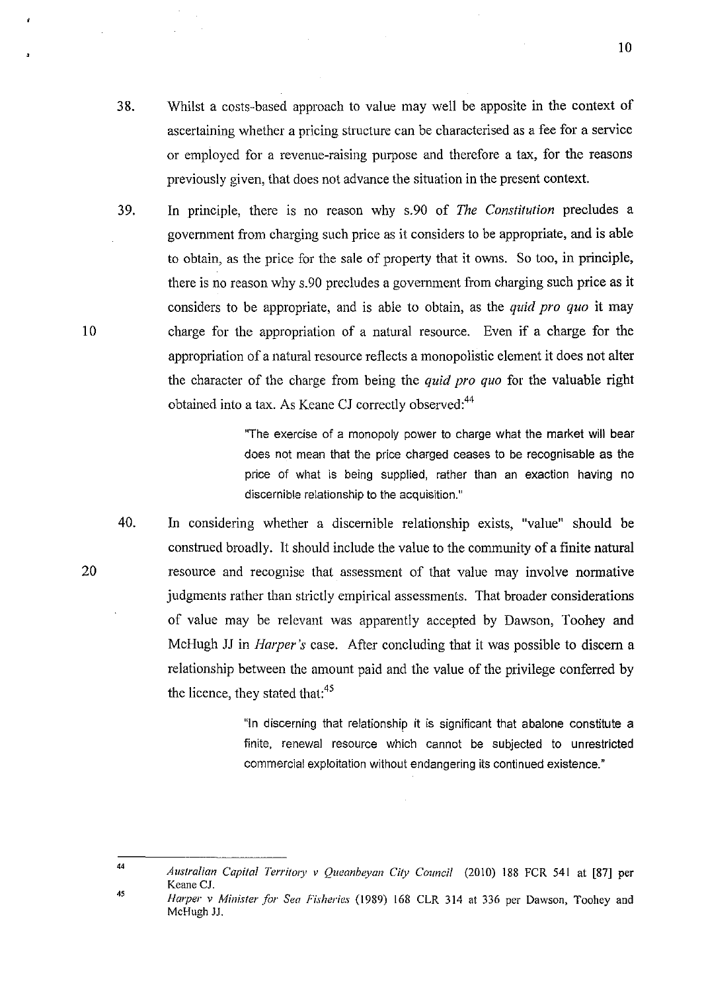- 38. Whilst a costs-based approach to value may well be apposite in the context of ascertaining whether a pricing structure can be characterised as a fee for a service or employed for a revenue-raising purpose and therefore a tax, for the reasons previously given, that does not advance the situation in the present context.
- 39. In principle, there is no reason why s.90 of *The Constitution* precludes a government from charging such price as it considers to be appropriate, and is able to obtain, as the price for the sale of property that it owns. So too, in principle, there is no reason why s.90 precludes a government from charging such price as it considers to be appropriate, and is able to obtain, as the *quid pro quo* it may charge for the appropriation of a natural resource. Even if a charge for the appropriation of a natural resource reflects a monopolistic element it does not alter the character of the charge from being the *quid pro quo* for the valuable right obtained into a tax. As Keane CJ correctly observed:<sup>44</sup>

"The exercise of a monopoly power to charge what the market will bear does not mean that the price charged ceases to be recognisable as the price of what is being supplied, rather than an exaction having no discernible relationship to the acquisition."

40. In considering whether a discernible relationship exists, "value" should be construed broadly. It should include the value to the community of a finite natural resource and recognise that assessment of that value may involve normative judgments rather than strictly empirical assessments. That broader considerations of value may be relevant was apparently accepted by Dawson, Toohey and McHugh JJ in *Harper's* case. After concluding that it was possible to discern a relationship between the amount paid and the value of the privilege conferred by the licence, they stated that:<sup>45</sup>

> "In discerning that relationship it is significant that abalone constitute a finite. renewal resource which cannot be subjected to unrestricted commercial exploitation without endangering its continued existence."

44

45

10

10

*Australian Capital Territory v Queanbeyan City Council* (2010) 188 FCR 541 at [87] per Keane CJ. *Harper v Minister for Sea Fisheries* (1989) 168 CLR 314 at 336 per Dawson, Toohey and